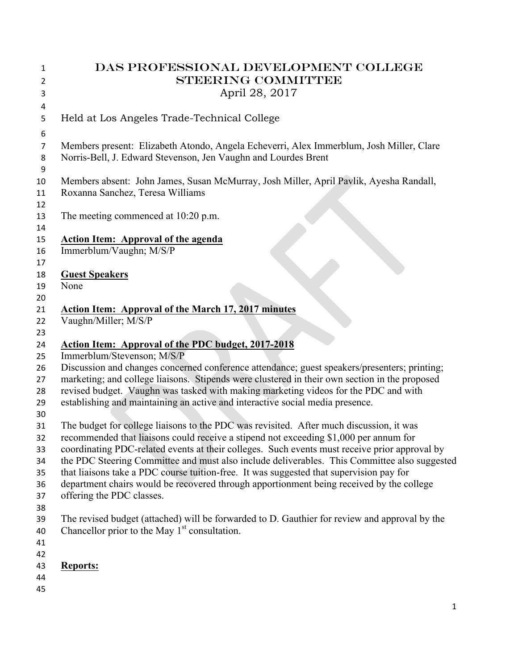| 1        | DAS PROFESSIONAL DEVELOPMENT COLLEGE                                                          |
|----------|-----------------------------------------------------------------------------------------------|
| 2        | <b>STEERING COMMITTEE</b>                                                                     |
| 3        | April 28, 2017                                                                                |
| 4        |                                                                                               |
| 5        | Held at Los Angeles Trade-Technical College                                                   |
| 6        |                                                                                               |
| 7        | Members present: Elizabeth Atondo, Angela Echeverri, Alex Immerblum, Josh Miller, Clare       |
| 8        | Norris-Bell, J. Edward Stevenson, Jen Vaughn and Lourdes Brent                                |
| 9        |                                                                                               |
| 10       | Members absent: John James, Susan McMurray, Josh Miller, April Pavlik, Ayesha Randall,        |
| 11       | Roxanna Sanchez, Teresa Williams                                                              |
| 12       |                                                                                               |
| 13       | The meeting commenced at 10:20 p.m.                                                           |
| 14       |                                                                                               |
| 15       | <b>Action Item: Approval of the agenda</b>                                                    |
| 16       | Immerblum/Vaughn; M/S/P                                                                       |
| 17       |                                                                                               |
| 18       | <b>Guest Speakers</b>                                                                         |
| 19       | None                                                                                          |
| 20       |                                                                                               |
| 21       | Action Item: Approval of the March 17, 2017 minutes                                           |
| 22       | Vaughn/Miller; M/S/P                                                                          |
| 23       |                                                                                               |
| 24       | <b>Action Item: Approval of the PDC budget, 2017-2018</b>                                     |
| 25       | Immerblum/Stevenson; M/S/P                                                                    |
| 26       | Discussion and changes concerned conference attendance; guest speakers/presenters; printing;  |
| 27       | marketing; and college liaisons. Stipends were clustered in their own section in the proposed |
| 28       | revised budget. Vaughn was tasked with making marketing videos for the PDC and with           |
| 29       | establishing and maintaining an active and interactive social media presence.                 |
| 30<br>31 | The budget for college liaisons to the PDC was revisited. After much discussion, it was       |
| 32       | recommended that liaisons could receive a stipend not exceeding \$1,000 per annum for         |
| 33       | coordinating PDC-related events at their colleges. Such events must receive prior approval by |
| 34       | the PDC Steering Committee and must also include deliverables. This Committee also suggested  |
| 35       | that liaisons take a PDC course tuition-free. It was suggested that supervision pay for       |
| 36       | department chairs would be recovered through apportionment being received by the college      |
| 37       | offering the PDC classes.                                                                     |
| 38       |                                                                                               |
| 39       | The revised budget (attached) will be forwarded to D. Gauthier for review and approval by the |
| 40       | Chancellor prior to the May 1 <sup>st</sup> consultation.                                     |
| 41       |                                                                                               |
| 42       |                                                                                               |
| 43       | <b>Reports:</b>                                                                               |
| 44       |                                                                                               |
| 45       |                                                                                               |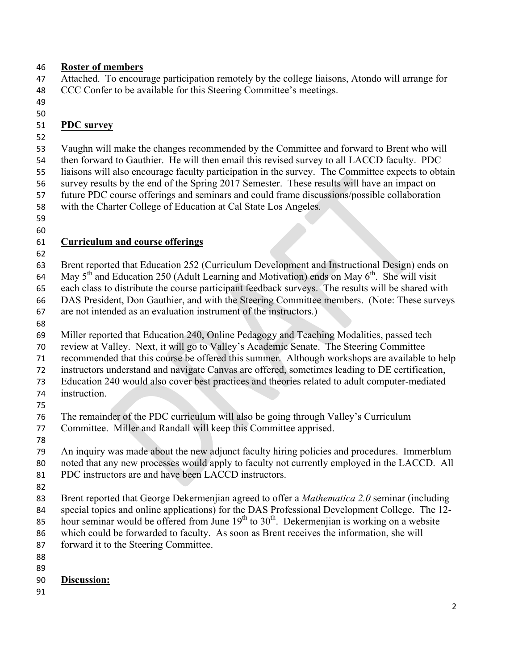#### **Roster of members**

 Attached. To encourage participation remotely by the college liaisons, Atondo will arrange for CCC Confer to be available for this Steering Committee's meetings.

- 
- 

### **PDC survey**

 Vaughn will make the changes recommended by the Committee and forward to Brent who will then forward to Gauthier. He will then email this revised survey to all LACCD faculty. PDC liaisons will also encourage faculty participation in the survey. The Committee expects to obtain survey results by the end of the Spring 2017 Semester. These results will have an impact on future PDC course offerings and seminars and could frame discussions/possible collaboration with the Charter College of Education at Cal State Los Angeles.

- 
- 

## **Curriculum and course offerings**

 Brent reported that Education 252 (Curriculum Development and Instructional Design) ends on 64 May  $5<sup>th</sup>$  and Education 250 (Adult Learning and Motivation) ends on May  $6<sup>th</sup>$ . She will visit each class to distribute the course participant feedback surveys. The results will be shared with DAS President, Don Gauthier, and with the Steering Committee members. (Note: These surveys

are not intended as an evaluation instrument of the instructors.)

Miller reported that Education 240, Online Pedagogy and Teaching Modalities, passed tech

- review at Valley. Next, it will go to Valley's Academic Senate. The Steering Committee
- recommended that this course be offered this summer. Although workshops are available to help
- instructors understand and navigate Canvas are offered, sometimes leading to DE certification,

Education 240 would also cover best practices and theories related to adult computer-mediated

- instruction.
- 

The remainder of the PDC curriculum will also be going through Valley's Curriculum

- Committee. Miller and Randall will keep this Committee apprised.
- 
- An inquiry was made about the new adjunct faculty hiring policies and procedures. Immerblum noted that any new processes would apply to faculty not currently employed in the LACCD. All
- PDC instructors are and have been LACCD instructors.
- 

Brent reported that George Dekermenjian agreed to offer a *Mathematica 2.0* seminar (including

- special topics and online applications) for the DAS Professional Development College. The 12-
- 85 hour seminar would be offered from June  $19<sup>th</sup>$  to  $30<sup>th</sup>$ . Dekermenjian is working on a website which could be forwarded to faculty. As soon as Brent receives the information, she will
- forward it to the Steering Committee.
- 
- 

#### **Discussion:**